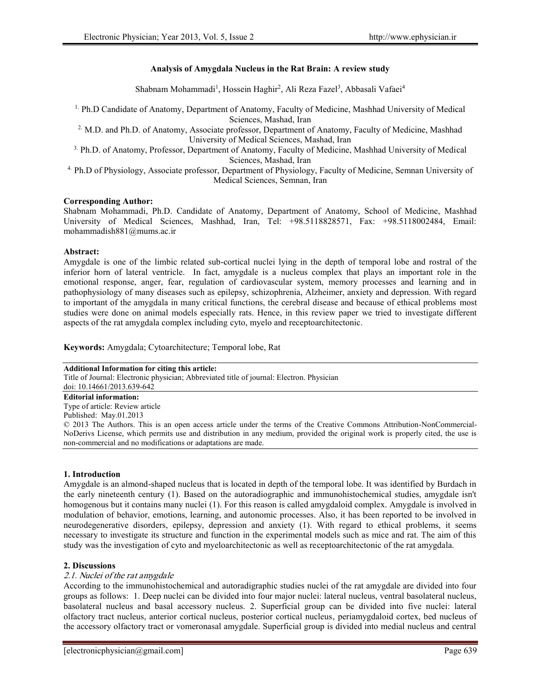# **Analysis of Amygdala Nucleus in the Rat Brain: A review study**

Shabnam Mohammadi<sup>1</sup>, Hossein Haghir<sup>2</sup>, Ali Reza Fazel<sup>3</sup>, Abbasali Vafaei<sup>4</sup>

1. Ph.D Candidate of Anatomy, Department of Anatomy, Faculty of Medicine, Mashhad University of Medical Sciences, Mashad, Iran

2. M.D. and Ph.D. of Anatomy, Associate professor, Department of Anatomy, Faculty of Medicine, Mashhad University of Medical Sciences, Mashad, Iran

3. Ph.D. of Anatomy, Professor, Department of Anatomy, Faculty of Medicine, Mashhad University of Medical Sciences, Mashad, Iran

4. Ph.D of Physiology, Associate professor, Department of Physiology, Faculty of Medicine, Semnan University of Medical Sciences, Semnan, Iran

# **Corresponding Author:**

Shabnam Mohammadi, Ph.D. Candidate of Anatomy, Department of Anatomy, School of Medicine, Mashhad University of Medical Sciences, Mashhad, Iran, Tel: +98.5118828571, Fax: +98.5118002484, Email: mohammadish881@mums.ac.ir

#### **Abstract:**

Amygdale is one of the limbic related sub-cortical nuclei lying in the depth of temporal lobe and rostral of the inferior horn of lateral ventricle. In fact, amygdale is a nucleus complex that plays an important role in the emotional response, anger, fear, regulation of cardiovascular system, memory processes and learning and in pathophysiology of many diseases such as epilepsy, schizophrenia, Alzheimer, anxiety and depression. With regard to important of the amygdala in many critical functions, the cerebral disease and because of ethical problems most studies were done on animal models especially rats. Hence, in this review paper we tried to investigate different aspects of the rat amygdala complex including cyto, myelo and receptoarchitectonic.

**Keywords:** Amygdala; Cytoarchitecture; Temporal lobe, Rat

#### **Additional Information for citing this article:**

Title of Journal: Electronic physician; Abbreviated title of journal: Electron. Physician doi: 10.14661/2013.639-642

**Editorial information:**

Type of article: Review article

Published: May.01.2013

© 2013 The Authors. This is an open access article under the terms of the Creative Commons Attribution-NonCommercial- NoDerivs License, which permits use and distribution in any medium, provided the original work is properly cited, the use is non-commercial and no modifications or adaptations are made.

# **1. Introduction**

Amygdale is an almond-shaped nucleus that is located in depth of the temporal lobe. It was identified by Burdach in the early nineteenth century (1). Based on the autoradiographic and immunohistochemical studies, amygdale isn't homogenous but it contains many nuclei (1). For this reason is called amygdaloid complex. Amygdale is involved in modulation of behavior, emotions, learning, and autonomic processes. Also, it has been reported to be involved in neurodegenerative disorders, epilepsy, depression and anxiety (1). With regard to ethical problems, it seems necessary to investigate its structure and function in the experimental models such as mice and rat. The aim of this study was the investigation of cyto and myeloarchitectonic as well as receptoarchitectonic of the rat amygdala.

# **2. Discussions**

# *2.1. Nuclei of the rat amygdale*

According to the immunohistochemical and autoradigraphic studies nuclei of the rat amygdale are divided into four groups as follows: 1. Deep nuclei can be divided into four major nuclei: lateral nucleus, ventral basolateral nucleus, basolateral nucleus and basal accessory nucleus. 2. Superficial group can be divided into five nuclei: lateral olfactory tract nucleus, anterior cortical nucleus, posterior cortical nucleus, periamygdaloid cortex, bed nucleus of the accessory olfactory tract or vomeronasal amygdale. Superficial group is divided into medial nucleus and central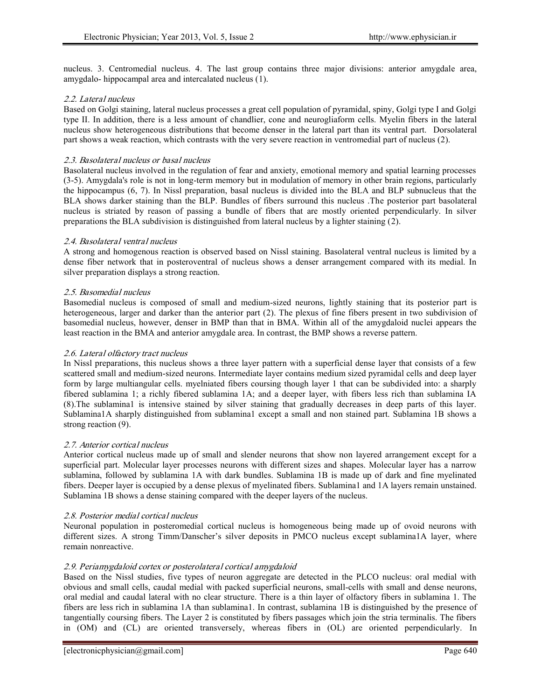nucleus. 3. Centromedial nucleus. 4. The last group contains three major divisions: anterior amygdale area, amygdalo- hippocampal area and intercalated nucleus (1).

# *2.2. Lateral nucleus*

Based on Golgi staining, lateral nucleus processes a great cell population of pyramidal, spiny, Golgi type I and Golgi type II. In addition, there is a less amount of chandlier, cone and neurogliaform cells. Myelin fibers in the lateral nucleus show heterogeneous distributions that become denser in the lateral part than its ventral part. Dorsolateral part shows a weak reaction, which contrasts with the very severe reaction in ventromedial part of nucleus (2).

# *2.3. Basolateral nucleus or basal nucleus*

Basolateral nucleus involved in the regulation of fear and anxiety, emotional memory and spatial learning processes (3-5). Amygdala's role is not in long-term memory but in modulation of memory in other brain regions, particularly the hippocampus (6, 7). In Nissl preparation, basal nucleus is divided into the BLA and BLP subnucleus that the BLA shows darker staining than the BLP. Bundles of fibers surround this nucleus .The posterior part basolateral nucleus is striated by reason of passing a bundle of fibers that are mostly oriented perpendicularly. In silver preparations the BLA subdivision is distinguished from lateral nucleus by a lighter staining (2).

# *2.4. Basolateral ventral nucleus*

A strong and homogenous reaction is observed based on Nissl staining. Basolateral ventral nucleus is limited by a dense fiber network that in posteroventral of nucleus shows a denser arrangement compared with its medial. In silver preparation displays a strong reaction.

# *2.5. Basomedial nucleus*

Basomedial nucleus is composed of small and medium-sized neurons, lightly staining that its posterior part is heterogeneous, larger and darker than the anterior part (2). The plexus of fine fibers present in two subdivision of basomedial nucleus, however, denser in BMP than that in BMA. Within all of the amygdaloid nuclei appears the least reaction in the BMA and anterior amygdale area. In contrast, the BMP shows a reverse pattern.

# *2.6. Lateral olfactory tract nucleus*

In Nissl preparations, this nucleus shows a three layer pattern with a superficial dense layer that consists of a few scattered small and medium-sized neurons. Intermediate layer contains medium sized pyramidal cells and deep layer form by large multiangular cells. myelniated fibers coursing though layer 1 that can be subdivided into: a sharply fibered sublamina 1; a richly fibered sublamina 1A; and a deeper layer, with fibers less rich than sublamina IA (8).The sublamina1 is intensive stained by silver staining that gradually decreases in deep parts of this layer. Sublamina1A sharply distinguished from sublamina1 except a small and non stained part. Sublamina 1B shows a strong reaction  $(9)$ .

# *2.7. Anterior cortical nucleus*

Anterior cortical nucleus made up of small and slender neurons that show non layered arrangement except for a superficial part. Molecular layer processes neurons with different sizes and shapes. Molecular layer has a narrow sublamina, followed by sublamina 1A with dark bundles. Sublamina 1B is made up of dark and fine myelinated fibers. Deeper layer is occupied by a dense plexus of myelinated fibers. Sublamina1 and 1A layers remain unstained. Sublamina 1B shows a dense staining compared with the deeper layers of the nucleus.

# *2.8. Posterior medial cortical nucleus*

Neuronal population in posteromedial cortical nucleus is homogeneous being made up of ovoid neurons with different sizes. A strong Timm/Danscher's silver deposits in PMCO nucleus except sublamina1A layer, where remain nonreactive.

# *2.9. Periamygdaloid cortex or posterolateral cortical amygdaloid*

Based on the Nissl studies, five types of neuron aggregate are detected in the PLCO nucleus: oral medial with obvious and small cells, caudal medial with packed superficial neurons, small-cells with small and dense neurons, oral medial and caudal lateral with no clear structure. There is a thin layer of olfactory fibers in sublamina 1. The fibers are less rich in sublamina 1A than sublamina1. In contrast, sublamina 1B is distinguished by the presence of tangentially coursing fibers. The Layer 2 is constituted by fibers passages which join the stria terminalis. The fibers in (OM) and (CL) are oriented transversely, whereas fibers in (OL) are oriented perpendicularly. In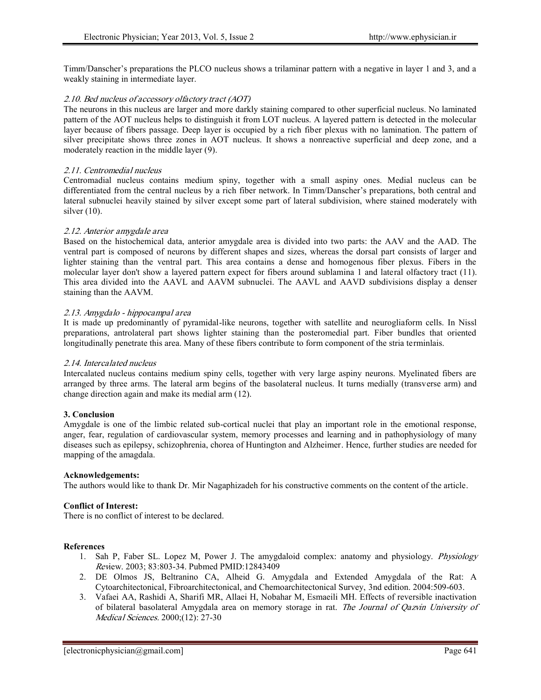Timm/Danscher's preparations the PLCO nucleus shows a trilaminar pattern with a negative in layer 1 and 3, and a weakly staining in intermediate layer.

# *2.10. Bed nucleus of accessory olfactory tract (AOT)*

The neurons in this nucleus are larger and more darkly staining compared to other superficial nucleus. No laminated pattern of the AOT nucleus helps to distinguish it from LOT nucleus. A layered pattern is detected in the molecular layer because of fibers passage. Deep layer is occupied by a rich fiber plexus with no lamination. The pattern of silver precipitate shows three zones in AOT nucleus. It shows a nonreactive superficial and deep zone, and a moderately reaction in the middle layer (9).

#### *2.11. Centromedial nucleus*

Centromadial nucleus contains medium spiny, together with a small aspiny ones. Medial nucleus can be differentiated from the central nucleus by a rich fiber network. In Timm/Danscher's preparations, both central and lateral subnuclei heavily stained by silver except some part of lateral subdivision, where stained moderately with silver (10).

#### *2.12. Anterior amygdale area*

Based on the histochemical data, anterior amygdale area is divided into two parts: the AAV and the AAD. The ventral part is composed of neurons by different shapes and sizes, whereas the dorsal part consists of larger and lighter staining than the ventral part. This area contains a dense and homogenous fiber plexus. Fibers in the molecular layer don't show a layered pattern expect for fibers around sublamina 1 and lateral olfactory tract (11). This area divided into the AAVL and AAVM subnuclei. The AAVL and AAVD subdivisions display a denser staining than the AAVM.

#### *2.13. Amygdalo - hippocampal area*

It is made up predominantly of pyramidal-like neurons, together with satellite and neurogliaform cells. In Nissl preparations, antrolateral part shows lighter staining than the posteromedial part. Fiber bundles that oriented longitudinally penetrate this area. Many of these fibers contribute to form component of the stria terminlais.

# *2.14. Intercalated nucleus*

Intercalated nucleus contains medium spiny cells, together with very large aspiny neurons. Myelinated fibers are arranged by three arms. The lateral arm begins of the basolateral nucleus. It turns medially (transverse arm) and change direction again and make its medial arm (12).

#### **3. Conclusion**

Amygdale is one of the limbic related sub-cortical nuclei that play an important role in the emotional response, anger, fear, regulation of cardiovascular system, memory processes and learning and in pathophysiology of many diseases such as epilepsy, schizophrenia, chorea of Huntington and Alzheimer. Hence, further studies are needed for mapping of the amagdala.

#### **Acknowledgements:**

The authors would like to thank Dr. Mir Nagaphizadeh for his constructive comments on the content of the article.

#### **Conflict of Interest:**

There is no conflict of interest to be declared.

#### **References**

- 1. Sah P, Faber SL. Lopez M, Power J. The amygdaloid complex: anatomy and physiology. *Physiology Rev*iew. 2003; 83:803-34. Pubmed PMID:12843409
- 2. DE Olmos JS, Beltranino CA, Alheid G. Amygdala and Extended Amygdala of the Rat: A Cytoarchitectonical, Fibroarchitectonical, and Chemoarchitectonical Survey, 3nd edition. 2004:509-603.
- 3. Vafaei AA, Rashidi A, Sharifi MR, Allaei H, Nobahar M, Esmaeili MH. Effects of reversible inactivation of bilateral basolateral Amygdala area on memory storage in rat. *The Journal of Qazvin University of Medical Sciences.* 2000;(12): 27-30